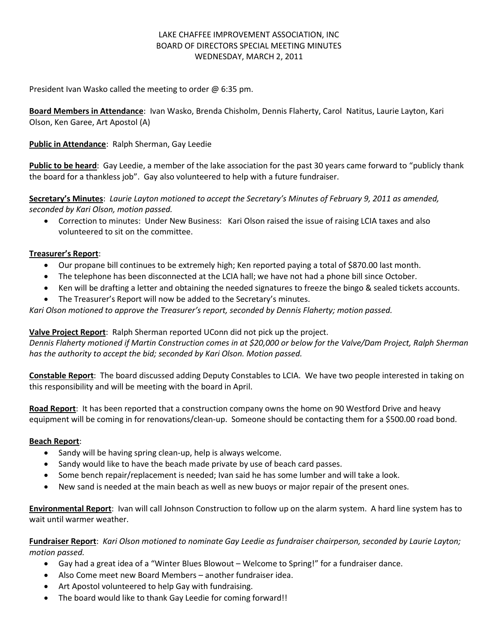# LAKE CHAFFEE IMPROVEMENT ASSOCIATION, INC BOARD OF DIRECTORS SPECIAL MEETING MINUTES WEDNESDAY, MARCH 2, 2011

President Ivan Wasko called the meeting to order @ 6:35 pm.

**Board Members in Attendance**: Ivan Wasko, Brenda Chisholm, Dennis Flaherty, Carol Natitus, Laurie Layton, Kari Olson, Ken Garee, Art Apostol (A)

## **Public in Attendance**: Ralph Sherman, Gay Leedie

**Public to be heard**: Gay Leedie, a member of the lake association for the past 30 years came forward to "publicly thank the board for a thankless job". Gay also volunteered to help with a future fundraiser.

**Secretary's Minutes**: *Laurie Layton motioned to accept the Secretary's Minutes of February 9, 2011 as amended, seconded by Kari Olson, motion passed.*

 Correction to minutes: Under New Business: Kari Olson raised the issue of raising LCIA taxes and also volunteered to sit on the committee.

### **Treasurer's Report**:

- Our propane bill continues to be extremely high; Ken reported paying a total of \$870.00 last month.
- The telephone has been disconnected at the LCIA hall; we have not had a phone bill since October.
- Ken will be drafting a letter and obtaining the needed signatures to freeze the bingo & sealed tickets accounts.
- The Treasurer's Report will now be added to the Secretary's minutes.

*Kari Olson motioned to approve the Treasurer's report, seconded by Dennis Flaherty; motion passed.*

### **Valve Project Report**: Ralph Sherman reported UConn did not pick up the project.

*Dennis Flaherty motioned if Martin Construction comes in at \$20,000 or below for the Valve/Dam Project, Ralph Sherman has the authority to accept the bid; seconded by Kari Olson. Motion passed.*

**Constable Report**: The board discussed adding Deputy Constables to LCIA. We have two people interested in taking on this responsibility and will be meeting with the board in April.

**Road Report**: It has been reported that a construction company owns the home on 90 Westford Drive and heavy equipment will be coming in for renovations/clean-up. Someone should be contacting them for a \$500.00 road bond.

### **Beach Report**:

- Sandy will be having spring clean-up, help is always welcome.
- Sandy would like to have the beach made private by use of beach card passes.
- Some bench repair/replacement is needed; Ivan said he has some lumber and will take a look.
- New sand is needed at the main beach as well as new buoys or major repair of the present ones.

**Environmental Report**: Ivan will call Johnson Construction to follow up on the alarm system. A hard line system has to wait until warmer weather.

**Fundraiser Report**: *Kari Olson motioned to nominate Gay Leedie as fundraiser chairperson, seconded by Laurie Layton; motion passed.*

- Gay had a great idea of a "Winter Blues Blowout Welcome to Spring!" for a fundraiser dance.
- Also Come meet new Board Members another fundraiser idea.
- Art Apostol volunteered to help Gay with fundraising.
- The board would like to thank Gay Leedie for coming forward!!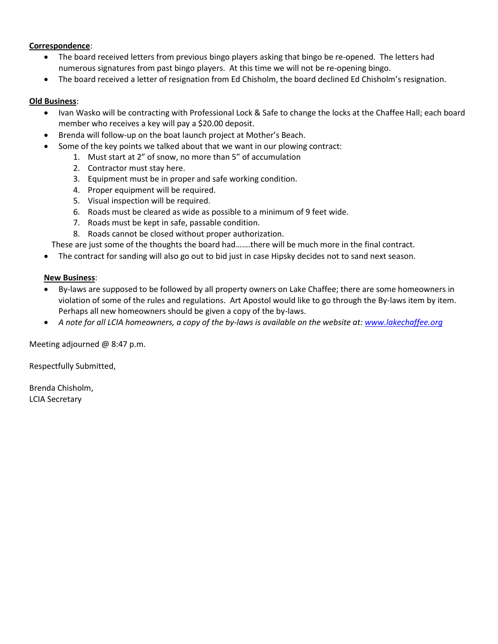## **Correspondence**:

- The board received letters from previous bingo players asking that bingo be re-opened. The letters had numerous signatures from past bingo players. At this time we will not be re-opening bingo.
- The board received a letter of resignation from Ed Chisholm, the board declined Ed Chisholm's resignation.

## **Old Business**:

- Ivan Wasko will be contracting with Professional Lock & Safe to change the locks at the Chaffee Hall; each board member who receives a key will pay a \$20.00 deposit.
- Brenda will follow-up on the boat launch project at Mother's Beach.
- Some of the key points we talked about that we want in our plowing contract:
	- 1. Must start at 2" of snow, no more than 5" of accumulation
	- 2. Contractor must stay here.
	- 3. Equipment must be in proper and safe working condition.
	- 4. Proper equipment will be required.
	- 5. Visual inspection will be required.
	- 6. Roads must be cleared as wide as possible to a minimum of 9 feet wide.
	- 7. Roads must be kept in safe, passable condition.
	- 8. Roads cannot be closed without proper authorization.

These are just some of the thoughts the board had…….there will be much more in the final contract.

The contract for sanding will also go out to bid just in case Hipsky decides not to sand next season.

### **New Business**:

- By-laws are supposed to be followed by all property owners on Lake Chaffee; there are some homeowners in violation of some of the rules and regulations. Art Apostol would like to go through the By-laws item by item. Perhaps all new homeowners should be given a copy of the by-laws.
- *A note for all LCIA homeowners, a copy of the by-laws is available on the website at[: www.lakechaffee.org](http://www.lakechaffee.org/)*

Meeting adjourned @ 8:47 p.m.

Respectfully Submitted,

Brenda Chisholm, LCIA Secretary